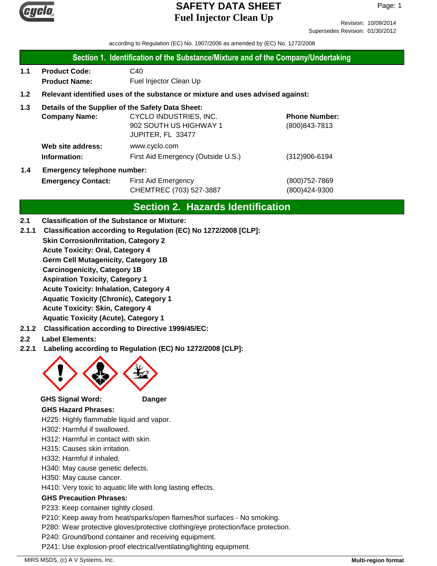

Revision: 10/09/2014 Supersedes Revision: 01/30/2012

according to Regulation (EC) No. 1907/2006 as amended by (EC) No. 1272/2008

#### **Section 1. Identification of the Substance/Mixture and of the Company/Undertaking**

**1.1 Product Code:** C40 **Product Name:** Fuel Injector Clean Up

### **1.2 Relevant identified uses of the substance or mixture and uses advised against:**

### **1.3 Details of the Supplier of the Safety Data Sheet:**

|     | <b>Company Name:</b>               | CYCLO INDUSTRIES, INC.             | <b>Phone Number:</b> |
|-----|------------------------------------|------------------------------------|----------------------|
|     |                                    | 902 SOUTH US HIGHWAY 1             | $(800)843 - 7813$    |
|     |                                    | JUPITER, FL 33477                  |                      |
|     | Web site address:                  | www.cyclo.com                      |                      |
|     | Information:                       | First Aid Emergency (Outside U.S.) | $(312)906 - 6194$    |
| 1.4 | <b>Emergency telephone number:</b> |                                    |                      |

# **Emergency Contact:** First Aid Emergency **Emergency** (800)752-7869 CHEMTREC (703) 527-3887 (800)424-9300

## **Section 2. Hazards Identification**

#### **2.1 Classification of the Substance or Mixture:**

**2.1.1 Classification according to Regulation (EC) No 1272/2008 [CLP]:**

**Skin Corrosion/Irritation, Category 2**

**Acute Toxicity: Oral, Category 4**

**Germ Cell Mutagenicity, Category 1B**

**Carcinogenicity, Category 1B**

**Aspiration Toxicity, Category 1**

**Acute Toxicity: Inhalation, Category 4**

**Aquatic Toxicity (Chronic), Category 1**

**Acute Toxicity: Skin, Category 4**

- **Aquatic Toxicity (Acute), Category 1**
- **2.1.2 Classification according to Directive 1999/45/EC:**
- **2.2 Label Elements:**
- **2.2.1 Labeling according to Regulation (EC) No 1272/2008 [CLP]:**



#### **GHS Signal Word: Danger**

#### **GHS Hazard Phrases:**

H225: Highly flammable liquid and vapor.

H302: Harmful if swallowed.

H312: Harmful in contact with skin.

H315: Causes skin irritation.

H332: Harmful if inhaled.

H340: May cause genetic defects.

H350: May cause cancer.

H410: Very toxic to aquatic life with long lasting effects.

#### **GHS Precaution Phrases:**

P233: Keep container tightly closed.

P210: Keep away from heat/sparks/open flames/hot surfaces - No smoking.

P280: Wear protective gloves/protective clothing/eye protection/face protection.

P240: Ground/bond container and receiving equipment.

P241: Use explosion-proof electrical/ventilating/lighting equipment.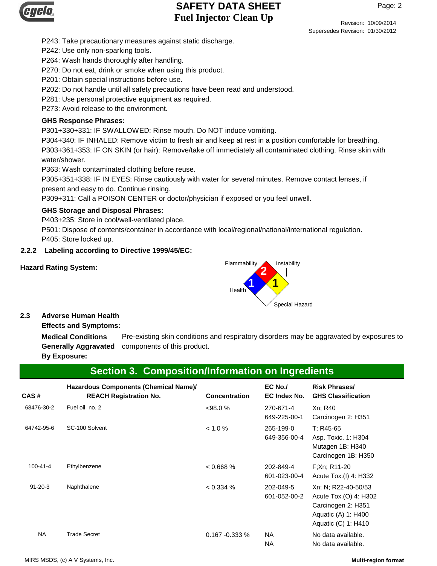

Page: 2

Revision: 10/09/2014 Supersedes Revision: 01/30/2012

P243: Take precautionary measures against static discharge.

P242: Use only non-sparking tools.

P264: Wash hands thoroughly after handling.

P270: Do not eat, drink or smoke when using this product.

P201: Obtain special instructions before use.

P202: Do not handle until all safety precautions have been read and understood.

P281: Use personal protective equipment as required.

P273: Avoid release to the environment.

### **GHS Response Phrases:**

P301+330+331: IF SWALLOWED: Rinse mouth. Do NOT induce vomiting.

P304+340: IF INHALED: Remove victim to fresh air and keep at rest in a position comfortable for breathing. P303+361+353: IF ON SKIN (or hair): Remove/take off immediately all contaminated clothing. Rinse skin with water/shower.

P363: Wash contaminated clothing before reuse.

P305+351+338: IF IN EYES: Rinse cautiously with water for several minutes. Remove contact lenses, if present and easy to do. Continue rinsing.

P309+311: Call a POISON CENTER or doctor/physician if exposed or you feel unwell.

### **GHS Storage and Disposal Phrases:**

P403+235: Store in cool/well-ventilated place.

P501: Dispose of contents/container in accordance with local/regional/national/international regulation. P405: Store locked up.

### **2.2.2 Labeling according to Directive 1999/45/EC:**





#### **2.3 Adverse Human Health**

**Effects and Symptoms:**

Pre-existing skin conditions and respiratory disorders may be aggravated by exposures to Generally Aggravated components of this product. **Medical Conditions By Exposure:**

# **Section 3. Composition/Information on Ingredients**

| CAS#           | Hazardous Components (Chemical Name)/<br><b>REACH Registration No.</b> | <b>Concentration</b> | $EC$ No./<br>EC Index No. | <b>Risk Phrases/</b><br><b>GHS Classification</b>                                                                |
|----------------|------------------------------------------------------------------------|----------------------|---------------------------|------------------------------------------------------------------------------------------------------------------|
| 68476-30-2     | Fuel oil, no. 2                                                        | $<98.0\%$            | 270-671-4<br>649-225-00-1 | Xn; R40<br>Carcinogen 2: H351                                                                                    |
| 64742-95-6     | SC-100 Solvent                                                         | $< 1.0 \%$           | 265-199-0<br>649-356-00-4 | T: R45-65<br>Asp. Toxic. 1: H304<br>Mutagen 1B: H340<br>Carcinogen 1B: H350                                      |
| $100 - 41 - 4$ | Ethylbenzene                                                           | 0.668%               | 202-849-4<br>601-023-00-4 | F;Xn; R11-20<br>Acute Tox.(I) 4: H332                                                                            |
| $91 - 20 - 3$  | Naphthalene                                                            | $< 0.334 \%$         | 202-049-5<br>601-052-00-2 | Xn; N; R22-40-50/53<br>Acute Tox.(O) 4: H302<br>Carcinogen 2: H351<br>Aquatic (A) 1: H400<br>Aquatic (C) 1: H410 |
| NA             | <b>Trade Secret</b>                                                    | $0.167 - 0.333 %$    | NA.<br><b>NA</b>          | No data available.<br>No data available.                                                                         |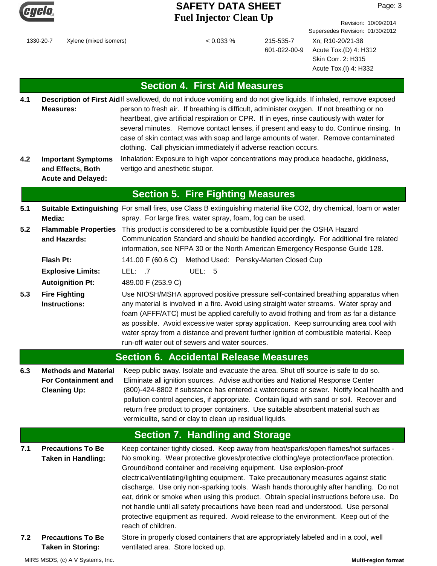

Page: 3

Revision: 10/09/2014

1330-20-7 Xylene (mixed isomers) < 0.033 % 215-535-7

601-022-00-9

Supersedes Revision: 01/30/2012 Xn; R10-20/21-38 Acute Tox.(D) 4: H312 Skin Corr. 2: H315 Acute Tox.(I) 4: H332

# **Section 4. First Aid Measures**

- Description of First Aidlf swallowed, do not induce vomiting and do not give liquids. If inhaled, remove exposed person to fresh air. If breathing is difficult, administer oxygen. If not breathing or no heartbeat, give artificial respiration or CPR. If in eyes, rinse cautiously with water for several minutes. Remove contact lenses, if present and easy to do. Continue rinsing. In case of skin contact,was with soap and large amounts of water. Remove contaminated clothing. Call physician immediately if adverse reaction occurs. **Measures: 4.1**
- **4.2** Inhalation: Exposure to high vapor concentrations may produce headache, giddiness, vertigo and anesthetic stupor. **Important Symptoms and Effects, Both Acute and Delayed:**

|     |                                                                                  | <b>Section 5. Fire Fighting Measures</b>                                                                                                                                                                                                                                                                                                                                                                                                                                                                      |
|-----|----------------------------------------------------------------------------------|---------------------------------------------------------------------------------------------------------------------------------------------------------------------------------------------------------------------------------------------------------------------------------------------------------------------------------------------------------------------------------------------------------------------------------------------------------------------------------------------------------------|
| 5.1 | Media:                                                                           | Suitable Extinguishing For small fires, use Class B extinguishing material like CO2, dry chemical, foam or water<br>spray. For large fires, water spray, foam, fog can be used.                                                                                                                                                                                                                                                                                                                               |
| 5.2 | <b>Flammable Properties</b><br>and Hazards:                                      | This product is considered to be a combustible liquid per the OSHA Hazard<br>Communication Standard and should be handled accordingly. For additional fire related<br>information, see NFPA 30 or the North American Emergency Response Guide 128.                                                                                                                                                                                                                                                            |
|     | Flash Pt:                                                                        | 141.00 F (60.6 C) Method Used: Pensky-Marten Closed Cup                                                                                                                                                                                                                                                                                                                                                                                                                                                       |
|     | <b>Explosive Limits:</b>                                                         | LEL: .7<br>UEL: 5                                                                                                                                                                                                                                                                                                                                                                                                                                                                                             |
|     | <b>Autoignition Pt:</b>                                                          | 489.00 F (253.9 C)                                                                                                                                                                                                                                                                                                                                                                                                                                                                                            |
| 5.3 | <b>Fire Fighting</b><br><b>Instructions:</b>                                     | Use NIOSH/MSHA approved positive pressure self-contained breathing apparatus when<br>any material is involved in a fire. Avoid using straight water streams. Water spray and<br>foam (AFFF/ATC) must be applied carefully to avoid frothing and from as far a distance<br>as possible. Avoid excessive water spray application. Keep surrounding area cool with<br>water spray from a distance and prevent further ignition of combustible material. Keep<br>run-off water out of sewers and water sources.   |
|     |                                                                                  | <b>Section 6. Accidental Release Measures</b>                                                                                                                                                                                                                                                                                                                                                                                                                                                                 |
| 6.3 | <b>Methods and Material</b><br><b>For Containment and</b><br><b>Cleaning Up:</b> | Keep public away. Isolate and evacuate the area. Shut off source is safe to do so.<br>Eliminate all ignition sources. Advise authorities and National Response Center<br>(800)-424-8802 if substance has entered a watercourse or sewer. Notify local health and<br>pollution control agencies, if appropriate. Contain liquid with sand or soil. Recover and<br>return free product to proper containers. Use suitable absorbent material such as<br>vermiculite, sand or clay to clean up residual liquids. |

# **Section 7. Handling and Storage**

**7.1 7.2** Keep container tightly closed. Keep away from heat/sparks/open flames/hot surfaces - No smoking. Wear protective gloves/protective clothing/eye protection/face protection. Ground/bond container and receiving equipment. Use explosion-proof electrical/ventilating/lighting equipment. Take precautionary measures against static discharge. Use only non-sparking tools. Wash hands thoroughly after handling. Do not eat, drink or smoke when using this product. Obtain special instructions before use. Do not handle until all safety precautions have been read and understood. Use personal protective equipment as required. Avoid release to the environment. Keep out of the reach of children. **Precautions To Be Taken in Handling:** Store in properly closed containers that are appropriately labeled and in a cool, well **Precautions To Be**

ventilated area. Store locked up.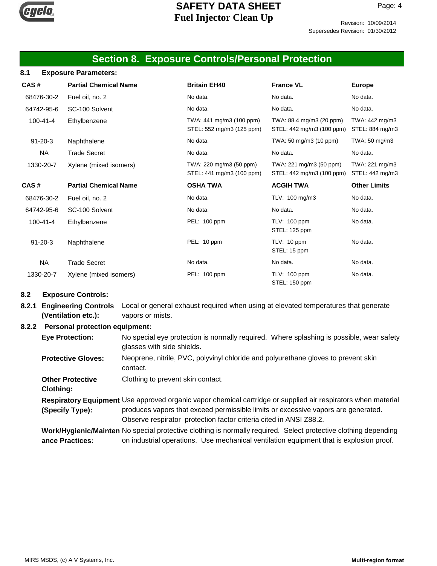

Revision: 10/09/2014 Supersedes Revision: 01/30/2012

### **Section 8. Exposure Controls/Personal Protection**

#### **8.1 Exposure Parameters:**

| CAS#           | <b>Partial Chemical Name</b> | <b>Britain EH40</b>                                   | <b>France VL</b>                                      | <b>Europe</b>                     |
|----------------|------------------------------|-------------------------------------------------------|-------------------------------------------------------|-----------------------------------|
| 68476-30-2     | Fuel oil, no. 2              | No data.                                              | No data.                                              | No data.                          |
| 64742-95-6     | SC-100 Solvent               | No data.                                              | No data.                                              | No data.                          |
| $100 - 41 - 4$ | Ethylbenzene                 | TWA: 441 mg/m3 (100 ppm)<br>STEL: 552 mg/m3 (125 ppm) | TWA: 88.4 mg/m3 (20 ppm)<br>STEL: 442 mg/m3 (100 ppm) | TWA: 442 mg/m3<br>STEL: 884 mg/m3 |
| $91 - 20 - 3$  | Naphthalene                  | No data.                                              | TWA: 50 mg/m3 (10 ppm)                                | TWA: 50 mg/m3                     |
| <b>NA</b>      | <b>Trade Secret</b>          | No data.                                              | No data.                                              | No data.                          |
| 1330-20-7      | Xylene (mixed isomers)       | TWA: 220 mg/m3 (50 ppm)<br>STEL: 441 mg/m3 (100 ppm)  | TWA: 221 mg/m3 (50 ppm)<br>STEL: 442 mg/m3 (100 ppm)  | TWA: 221 mg/m3<br>STEL: 442 mg/m3 |
| CAS#           | <b>Partial Chemical Name</b> | <b>OSHA TWA</b>                                       | <b>ACGIH TWA</b>                                      | <b>Other Limits</b>               |
| 68476-30-2     | Fuel oil, no. 2              | No data.                                              | TLV: 100 mg/m3                                        | No data.                          |
| 64742-95-6     | SC-100 Solvent               | No data.                                              | No data.                                              | No data.                          |
| $100 - 41 - 4$ | Ethylbenzene                 | PEL: 100 ppm                                          | TLV: 100 ppm<br>STEL: 125 ppm                         | No data.                          |
| $91 - 20 - 3$  | Naphthalene                  | PEL: 10 ppm                                           | TLV: 10 ppm<br>STEL: 15 ppm                           | No data.                          |
| <b>NA</b>      | <b>Trade Secret</b>          | No data.                                              | No data.                                              | No data.                          |
| 1330-20-7      | Xylene (mixed isomers)       | PEL: 100 ppm                                          | TLV: 100 ppm<br>STEL: 150 ppm                         | No data.                          |

#### **8.2 Exposure Controls:**

**8.2.1 Engineering Controls** Local or general exhaust required when using at elevated temperatures that generate vapors or mists. **(Ventilation etc.):**

#### **8.2.2 Personal protection equipment:**

No special eye protection is normally required. Where splashing is possible, wear safety glasses with side shields. **Eye Protection:**

- Neoprene, nitrile, PVC, polyvinyl chloride and polyurethane gloves to prevent skin contact. **Protective Gloves:**
- **Other Protective** Clothing to prevent skin contact.

**Clothing:**

Respiratory Equipment Use approved organic vapor chemical cartridge or supplied air respirators when material produces vapors that exceed permissible limits or excessive vapors are generated. Observe respirator protection factor criteria cited in ANSI Z88.2. **(Specify Type):**

Work/Hygienic/Mainten No special protective clothing is normally required. Select protective clothing depending on industrial operations. Use mechanical ventilation equipment that is explosion proof. **ance Practices:**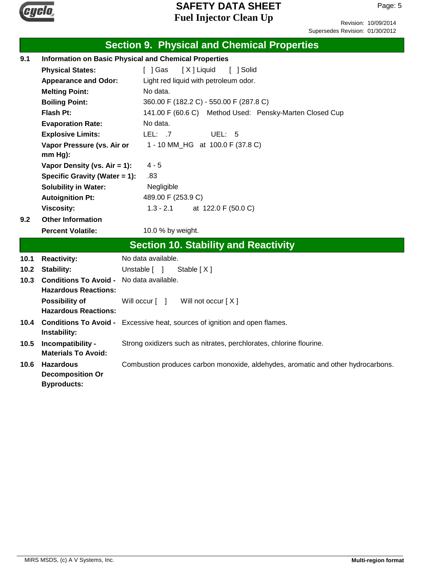

Revision: 10/09/2014 Supersedes Revision: 01/30/2012

|      |                                   | <b>Section 9. Physical and Chemical Properties</b>                               |  |  |  |
|------|-----------------------------------|----------------------------------------------------------------------------------|--|--|--|
| 9.1  |                                   | <b>Information on Basic Physical and Chemical Properties</b>                     |  |  |  |
|      | <b>Physical States:</b>           | [ ] Gas<br>[X] Liquid<br>[ ] Solid                                               |  |  |  |
|      | <b>Appearance and Odor:</b>       | Light red liquid with petroleum odor.                                            |  |  |  |
|      | <b>Melting Point:</b>             | No data.                                                                         |  |  |  |
|      | <b>Boiling Point:</b>             | 360.00 F (182.2 C) - 550.00 F (287.8 C)                                          |  |  |  |
|      | <b>Flash Pt:</b>                  | 141.00 F (60.6 C) Method Used: Pensky-Marten Closed Cup                          |  |  |  |
|      | <b>Evaporation Rate:</b>          | No data.                                                                         |  |  |  |
|      | <b>Explosive Limits:</b>          | LEL: $.7$<br>UEL: $5$                                                            |  |  |  |
|      | Vapor Pressure (vs. Air or        | 1 - 10 MM_HG at 100.0 F (37.8 C)                                                 |  |  |  |
|      | $mm Hg$ ):                        |                                                                                  |  |  |  |
|      | Vapor Density (vs. Air = 1):      | $4 - 5$                                                                          |  |  |  |
|      | Specific Gravity (Water = 1):     | .83                                                                              |  |  |  |
|      | <b>Solubility in Water:</b>       | Negligible                                                                       |  |  |  |
|      | <b>Autoignition Pt:</b>           | 489.00 F (253.9 C)                                                               |  |  |  |
|      | <b>Viscosity:</b>                 | $1.3 - 2.1$<br>at 122.0 F (50.0 C)                                               |  |  |  |
| 9.2  | <b>Other Information</b>          |                                                                                  |  |  |  |
|      | <b>Percent Volatile:</b>          | 10.0 % by weight.                                                                |  |  |  |
|      |                                   | <b>Section 10. Stability and Reactivity</b>                                      |  |  |  |
| 10.1 | <b>Reactivity:</b>                | No data available.                                                               |  |  |  |
| 10.2 | <b>Stability:</b>                 | Unstable [ ]<br>Stable $[X]$                                                     |  |  |  |
| 10.3 | <b>Conditions To Avoid -</b>      | No data available.                                                               |  |  |  |
|      | <b>Hazardous Reactions:</b>       |                                                                                  |  |  |  |
|      | <b>Possibility of</b>             | Will not occur [X]<br>Will occur [ ]                                             |  |  |  |
|      | <b>Hazardous Reactions:</b>       |                                                                                  |  |  |  |
|      |                                   | 10.4 Conditions To Avoid - Excessive heat, sources of ignition and open flames.  |  |  |  |
| 10.5 | Instability:<br>Incompatibility - | Strong oxidizers such as nitrates, perchlorates, chlorine flourine.              |  |  |  |
|      | <b>Materials To Avoid:</b>        |                                                                                  |  |  |  |
| 10.6 | <b>Hazardous</b>                  | Combustion produces carbon monoxide, aldehydes, aromatic and other hydrocarbons. |  |  |  |
|      | <b>Decomposition Or</b>           |                                                                                  |  |  |  |
|      | <b>Byproducts:</b>                |                                                                                  |  |  |  |
|      |                                   |                                                                                  |  |  |  |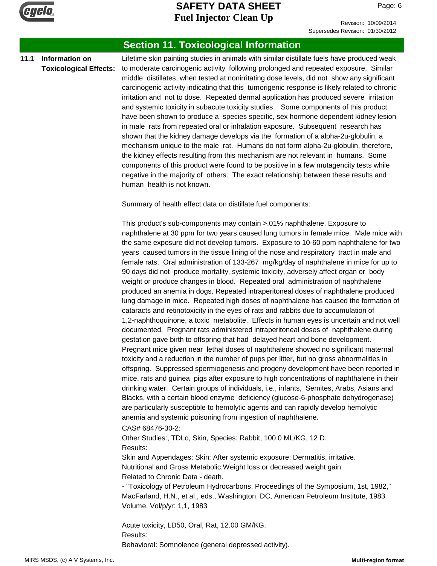

Page: 6

# Supersedes Revision: 01/30/2012

### **Section 11. Toxicological Information**

#### **11.1 Information on Toxicological Effects:**

Lifetime skin painting studies in animals with similar distillate fuels have produced weak to moderate carcinogenic activity following prolonged and repeated exposure. Similar middle distillates, when tested at nonirritating dose levels, did not show any significant carcinogenic activity indicating that this tumorigenic response is likely related to chronic irritation and not to dose. Repeated dermal application has produced severe irritation and systemic toxicity in subacute toxicity studies. Some components of this product have been shown to produce a species specific, sex hormone dependent kidney lesion in male rats from repeated oral or inhalation exposure. Subsequent research has shown that the kidney damage develops via the formation of a alpha-2u-globulin, a mechanism unique to the male rat. Humans do not form alpha-2u-globulin, therefore, the kidney effects resulting from this mechanism are not relevant in humans. Some components of this product were found to be positive in a few mutagencity tests while negative in the majority of others. The exact relationship between these results and human health is not known.

Summary of health effect data on distillate fuel components:

This product's sub-components may contain >.01% naphthalene. Exposure to naphthalene at 30 ppm for two years caused lung tumors in female mice. Male mice with the same exposure did not develop tumors. Exposure to 10-60 ppm naphthalene for two years caused tumors in the tissue lining of the nose and respiratory tract in male and female rats. Oral administration of 133-267 mg/kg/day of naphthalene in mice for up to 90 days did not produce mortality, systemic toxicity, adversely affect organ or body weight or produce changes in blood. Repeated oral administration of naphthalene produced an anemia in dogs. Repeated intraperitoneal doses of naphthalene produced lung damage in mice. Repeated high doses of naphthalene has caused the formation of cataracts and retinotoxicity in the eyes of rats and rabbits due to accumulation of 1,2-naphthoquinone, a toxic metabolite. Effects in human eyes is uncertain and not well documented. Pregnant rats administered intraperitoneal doses of naphthalene during gestation gave birth to offspring that had delayed heart and bone development. Pregnant mice given near lethal doses of naphthalene showed no significant maternal toxicity and a reduction in the number of pups per litter, but no gross abnormalities in offspring. Suppressed spermiogenesis and progeny development have been reported in mice, rats and guinea pigs after exposure to high concentrations of naphthalene in their drinking water. Certain groups of individuals, i.e., infants, Semites, Arabs, Asians and Blacks, with a certain blood enzyme deficiency (glucose-6-phosphate dehydrogenase) are particularly susceptible to hemolytic agents and can rapidly develop hemolytic anemia and systemic poisoning from ingestion of naphthalene.

#### CAS# 68476-30-2:

Other Studies:, TDLo, Skin, Species: Rabbit, 100.0 ML/KG, 12 D. Results:

Skin and Appendages: Skin: After systemic exposure: Dermatitis, irritative. Nutritional and Gross Metabolic:Weight loss or decreased weight gain. Related to Chronic Data - death.

- "Toxicology of Petroleum Hydrocarbons, Proceedings of the Symposium, 1st, 1982," MacFarland, H.N., et al., eds., Washington, DC, American Petroleum Institute, 1983 Volume, Vol/p/yr: 1,1, 1983

Acute toxicity, LD50, Oral, Rat, 12.00 GM/KG. Results: Behavioral: Somnolence (general depressed activity).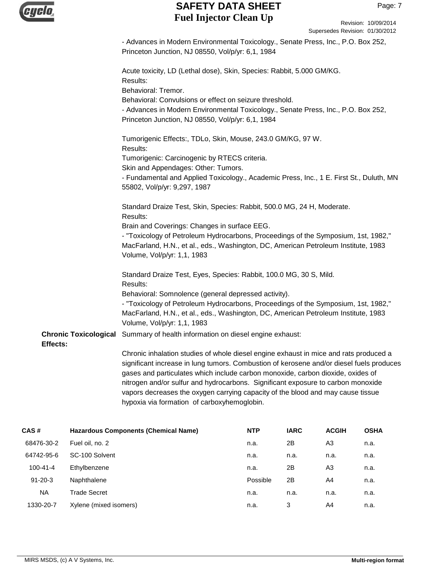| <b>Cyclo</b> |  |
|--------------|--|
|              |  |
|              |  |
|              |  |

- Advances in Modern Environmental Toxicology., Senate Press, Inc., P.O. Box 252, Princeton Junction, NJ 08550, Vol/p/yr: 6,1, 1984

|                                          | Acute toxicity, LD (Lethal dose), Skin, Species: Rabbit, 5.000 GM/KG.<br>Results:<br>Behavioral: Tremor.                                                                                                                                               |
|------------------------------------------|--------------------------------------------------------------------------------------------------------------------------------------------------------------------------------------------------------------------------------------------------------|
|                                          | Behavioral: Convulsions or effect on seizure threshold.<br>- Advances in Modern Environmental Toxicology., Senate Press, Inc., P.O. Box 252,<br>Princeton Junction, NJ 08550, Vol/p/yr: 6,1, 1984                                                      |
|                                          | Tumorigenic Effects:, TDLo, Skin, Mouse, 243.0 GM/KG, 97 W.<br>Results:                                                                                                                                                                                |
|                                          | Tumorigenic: Carcinogenic by RTECS criteria.                                                                                                                                                                                                           |
|                                          | Skin and Appendages: Other: Tumors.                                                                                                                                                                                                                    |
|                                          | - Fundamental and Applied Toxicology., Academic Press, Inc., 1 E. First St., Duluth, MN<br>55802, Vol/p/yr: 9,297, 1987                                                                                                                                |
|                                          | Standard Draize Test, Skin, Species: Rabbit, 500.0 MG, 24 H, Moderate.<br>Results:                                                                                                                                                                     |
|                                          | Brain and Coverings: Changes in surface EEG.                                                                                                                                                                                                           |
|                                          | - "Toxicology of Petroleum Hydrocarbons, Proceedings of the Symposium, 1st, 1982,"<br>MacFarland, H.N., et al., eds., Washington, DC, American Petroleum Institute, 1983<br>Volume, Vol/p/yr: 1,1, 1983                                                |
|                                          | Standard Draize Test, Eyes, Species: Rabbit, 100.0 MG, 30 S, Mild.<br>Results:                                                                                                                                                                         |
|                                          | Behavioral: Somnolence (general depressed activity).                                                                                                                                                                                                   |
|                                          | - "Toxicology of Petroleum Hydrocarbons, Proceedings of the Symposium, 1st, 1982,"                                                                                                                                                                     |
|                                          | MacFarland, H.N., et al., eds., Washington, DC, American Petroleum Institute, 1983<br>Volume, Vol/p/yr: 1,1, 1983                                                                                                                                      |
| <b>Chronic Toxicological</b><br>Effects: | Summary of health information on diesel engine exhaust:                                                                                                                                                                                                |
|                                          | Chronic inhalation studies of whole diesel engine exhaust in mice and rats produced a                                                                                                                                                                  |
|                                          | significant increase in lung tumors. Combustion of kerosene and/or diesel fuels produces                                                                                                                                                               |
|                                          | gases and particulates which include carbon monoxide, carbon dioxide, oxides of<br>nitrogen and/or sulfur and hydrocarbons. Significant exposure to carbon monoxide<br>vapors decreases the oxygen carrying capacity of the blood and may cause tissue |
|                                          |                                                                                                                                                                                                                                                        |

| CAS#           | <b>Hazardous Components (Chemical Name)</b> | <b>NTP</b> | <b>IARC</b> | <b>ACGIH</b> | <b>OSHA</b> |
|----------------|---------------------------------------------|------------|-------------|--------------|-------------|
| 68476-30-2     | Fuel oil, no. 2                             | n.a.       | 2B          | A3           | n.a.        |
| 64742-95-6     | SC-100 Solvent                              | n.a.       | n.a.        | n.a.         | n.a.        |
| $100 - 41 - 4$ | Ethylbenzene                                | n.a.       | 2B          | A3           | n.a.        |
| $91 - 20 - 3$  | Naphthalene                                 | Possible   | 2B          | A4           | n.a.        |
| <b>NA</b>      | <b>Trade Secret</b>                         | n.a.       | n.a.        | n.a.         | n.a.        |
| 1330-20-7      | Xylene (mixed isomers)                      | n.a.       | 3           | A4           | n.a.        |
|                |                                             |            |             |              |             |

hypoxia via formation of carboxyhemoglobin.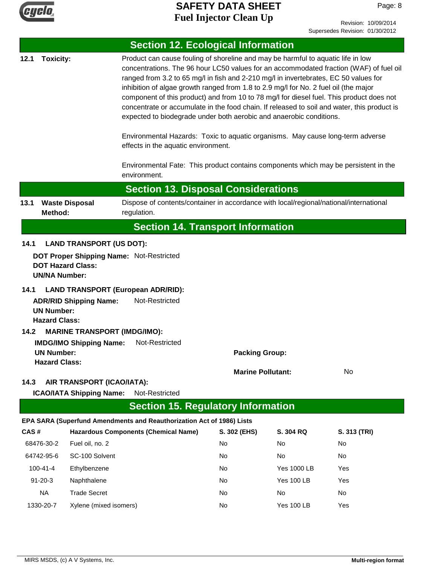

Revision: 10/09/2014 Supersedes Revision: 01/30/2012

|              |                                           |                                                                      | <b>Section 12. Ecological Information</b>                                                                                                                                                                                                                                                                                                                                                                                                                                                                                                                                                                                                                                                                                                             |                          |                         |              |
|--------------|-------------------------------------------|----------------------------------------------------------------------|-------------------------------------------------------------------------------------------------------------------------------------------------------------------------------------------------------------------------------------------------------------------------------------------------------------------------------------------------------------------------------------------------------------------------------------------------------------------------------------------------------------------------------------------------------------------------------------------------------------------------------------------------------------------------------------------------------------------------------------------------------|--------------------------|-------------------------|--------------|
| 12.1         | <b>Toxicity:</b>                          |                                                                      | Product can cause fouling of shoreline and may be harmful to aquatic life in low<br>concentrations. The 96 hour LC50 values for an accommodated fraction (WAF) of fuel oil<br>ranged from 3.2 to 65 mg/l in fish and 2-210 mg/l in invertebrates, EC 50 values for<br>inhibition of algae growth ranged from 1.8 to 2.9 mg/l for No. 2 fuel oil (the major<br>component of this product) and from 10 to 78 mg/l for diesel fuel. This product does not<br>concentrate or accumulate in the food chain. If released to soil and water, this product is<br>expected to biodegrade under both aerobic and anaerobic conditions.<br>Environmental Hazards: Toxic to aquatic organisms. May cause long-term adverse<br>effects in the aquatic environment. |                          |                         |              |
|              |                                           |                                                                      | Environmental Fate: This product contains components which may be persistent in the<br>environment.                                                                                                                                                                                                                                                                                                                                                                                                                                                                                                                                                                                                                                                   |                          |                         |              |
|              |                                           |                                                                      | <b>Section 13. Disposal Considerations</b>                                                                                                                                                                                                                                                                                                                                                                                                                                                                                                                                                                                                                                                                                                            |                          |                         |              |
| 13.1         | Method:                                   | <b>Waste Disposal</b>                                                | Dispose of contents/container in accordance with local/regional/national/international<br>regulation.                                                                                                                                                                                                                                                                                                                                                                                                                                                                                                                                                                                                                                                 |                          |                         |              |
|              |                                           |                                                                      | <b>Section 14. Transport Information</b>                                                                                                                                                                                                                                                                                                                                                                                                                                                                                                                                                                                                                                                                                                              |                          |                         |              |
| 14.1         |                                           | <b>LAND TRANSPORT (US DOT):</b>                                      |                                                                                                                                                                                                                                                                                                                                                                                                                                                                                                                                                                                                                                                                                                                                                       |                          |                         |              |
|              | <b>UN/NA Number:</b>                      | <b>DOT Hazard Class:</b>                                             | DOT Proper Shipping Name: Not-Restricted                                                                                                                                                                                                                                                                                                                                                                                                                                                                                                                                                                                                                                                                                                              |                          |                         |              |
| 14.1<br>14.2 | <b>UN Number:</b><br><b>Hazard Class:</b> | <b>ADR/RID Shipping Name:</b><br><b>MARINE TRANSPORT (IMDG/IMO):</b> | <b>LAND TRANSPORT (European ADR/RID):</b><br>Not-Restricted                                                                                                                                                                                                                                                                                                                                                                                                                                                                                                                                                                                                                                                                                           |                          |                         |              |
|              | <b>UN Number:</b><br><b>Hazard Class:</b> | <b>IMDG/IMO Shipping Name:</b>                                       | Not-Restricted                                                                                                                                                                                                                                                                                                                                                                                                                                                                                                                                                                                                                                                                                                                                        | <b>Packing Group:</b>    |                         |              |
| 14.3         |                                           | AIR TRANSPORT (ICAO/IATA):                                           |                                                                                                                                                                                                                                                                                                                                                                                                                                                                                                                                                                                                                                                                                                                                                       | <b>Marine Pollutant:</b> |                         | No           |
|              |                                           | <b>ICAO/IATA Shipping Name:</b>                                      | Not-Restricted                                                                                                                                                                                                                                                                                                                                                                                                                                                                                                                                                                                                                                                                                                                                        |                          |                         |              |
|              |                                           |                                                                      | <b>Section 15. Regulatory Information</b>                                                                                                                                                                                                                                                                                                                                                                                                                                                                                                                                                                                                                                                                                                             |                          |                         |              |
|              |                                           |                                                                      | EPA SARA (Superfund Amendments and Reauthorization Act of 1986) Lists                                                                                                                                                                                                                                                                                                                                                                                                                                                                                                                                                                                                                                                                                 |                          |                         |              |
| CAS#         |                                           |                                                                      | <b>Hazardous Components (Chemical Name)</b>                                                                                                                                                                                                                                                                                                                                                                                                                                                                                                                                                                                                                                                                                                           | S. 302 (EHS)             | S. 304 RQ               | S. 313 (TRI) |
|              | 68476-30-2                                | Fuel oil, no. 2                                                      |                                                                                                                                                                                                                                                                                                                                                                                                                                                                                                                                                                                                                                                                                                                                                       | No                       | No                      | No           |
|              | 64742-95-6                                | SC-100 Solvent                                                       |                                                                                                                                                                                                                                                                                                                                                                                                                                                                                                                                                                                                                                                                                                                                                       | No                       | No                      | No           |
|              | $100 - 41 - 4$                            | Ethylbenzene                                                         |                                                                                                                                                                                                                                                                                                                                                                                                                                                                                                                                                                                                                                                                                                                                                       | No                       | <b>Yes 1000 LB</b>      | Yes          |
|              | $91 - 20 - 3$<br><b>NA</b>                | Naphthalene<br><b>Trade Secret</b>                                   |                                                                                                                                                                                                                                                                                                                                                                                                                                                                                                                                                                                                                                                                                                                                                       | No<br>No                 | <b>Yes 100 LB</b><br>No | Yes<br>No    |
|              |                                           | Xylene (mixed isomers)                                               |                                                                                                                                                                                                                                                                                                                                                                                                                                                                                                                                                                                                                                                                                                                                                       | No                       | <b>Yes 100 LB</b>       | Yes          |
|              | 1330-20-7                                 |                                                                      |                                                                                                                                                                                                                                                                                                                                                                                                                                                                                                                                                                                                                                                                                                                                                       |                          |                         |              |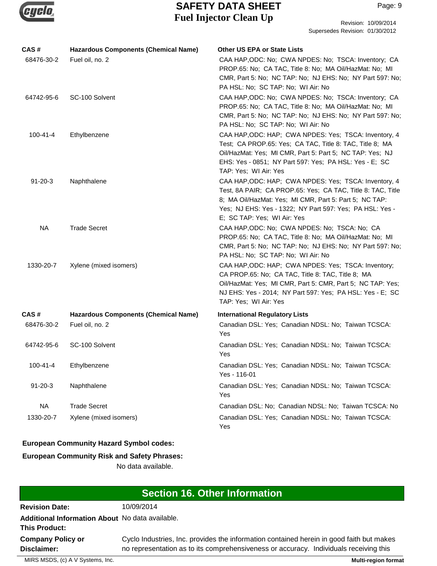

| CAS#           | <b>Hazardous Components (Chemical Name)</b> | <b>Other US EPA or State Lists</b>                                                                                                                                                                                                                                        |
|----------------|---------------------------------------------|---------------------------------------------------------------------------------------------------------------------------------------------------------------------------------------------------------------------------------------------------------------------------|
| 68476-30-2     | Fuel oil, no. 2                             | CAA HAP, ODC: No; CWA NPDES: No; TSCA: Inventory; CA<br>PROP.65: No; CA TAC, Title 8: No; MA Oil/HazMat: No; MI<br>CMR, Part 5: No; NC TAP: No; NJ EHS: No; NY Part 597: No;<br>PA HSL: No; SC TAP: No; WI Air: No                                                        |
| 64742-95-6     | SC-100 Solvent                              | CAA HAP, ODC: No; CWA NPDES: No; TSCA: Inventory; CA<br>PROP.65: No; CA TAC, Title 8: No; MA Oil/HazMat: No; MI<br>CMR, Part 5: No; NC TAP: No; NJ EHS: No; NY Part 597: No;<br>PA HSL: No; SC TAP: No; WI Air: No                                                        |
| $100 - 41 - 4$ | Ethylbenzene                                | CAA HAP, ODC: HAP; CWA NPDES: Yes; TSCA: Inventory, 4<br>Test; CA PROP.65: Yes; CA TAC, Title 8: TAC, Title 8; MA<br>Oil/HazMat: Yes; MI CMR, Part 5: Part 5; NC TAP: Yes; NJ<br>EHS: Yes - 0851; NY Part 597: Yes; PA HSL: Yes - E; SC<br>TAP: Yes; WI Air: Yes          |
| $91 - 20 - 3$  | Naphthalene                                 | CAA HAP, ODC: HAP; CWA NPDES: Yes; TSCA: Inventory, 4<br>Test, 8A PAIR; CA PROP.65: Yes; CA TAC, Title 8: TAC, Title<br>8; MA Oil/HazMat: Yes; MI CMR, Part 5: Part 5; NC TAP:<br>Yes; NJ EHS: Yes - 1322; NY Part 597: Yes; PA HSL: Yes -<br>E; SC TAP: Yes; WI Air: Yes |
| <b>NA</b>      | <b>Trade Secret</b>                         | CAA HAP, ODC: No; CWA NPDES: No; TSCA: No; CA<br>PROP.65: No; CA TAC, Title 8: No; MA Oil/HazMat: No; MI<br>CMR, Part 5: No; NC TAP: No; NJ EHS: No; NY Part 597: No;<br>PA HSL: No; SC TAP: No; WI Air: No                                                               |
| 1330-20-7      | Xylene (mixed isomers)                      | CAA HAP, ODC: HAP; CWA NPDES: Yes; TSCA: Inventory;<br>CA PROP.65: No; CA TAC, Title 8: TAC, Title 8; MA<br>Oil/HazMat: Yes; MI CMR, Part 5: CMR, Part 5; NC TAP: Yes;<br>NJ EHS: Yes - 2014; NY Part 597: Yes; PA HSL: Yes - E; SC<br>TAP: Yes; WI Air: Yes              |
| CAS#           | <b>Hazardous Components (Chemical Name)</b> | <b>International Regulatory Lists</b>                                                                                                                                                                                                                                     |
| 68476-30-2     | Fuel oil, no. 2                             | Canadian DSL: Yes; Canadian NDSL: No; Taiwan TCSCA:<br>Yes                                                                                                                                                                                                                |
| 64742-95-6     | SC-100 Solvent                              | Canadian DSL: Yes; Canadian NDSL: No; Taiwan TCSCA:<br>Yes                                                                                                                                                                                                                |
| $100 - 41 - 4$ | Ethylbenzene                                | Canadian DSL: Yes; Canadian NDSL: No; Taiwan TCSCA:<br>Yes - 116-01                                                                                                                                                                                                       |
| $91 - 20 - 3$  | Naphthalene                                 | Canadian DSL: Yes; Canadian NDSL: No; Taiwan TCSCA:<br>Yes                                                                                                                                                                                                                |
| <b>NA</b>      | <b>Trade Secret</b>                         | Canadian DSL: No; Canadian NDSL: No; Taiwan TCSCA: No                                                                                                                                                                                                                     |
| 1330-20-7      | Xylene (mixed isomers)                      | Canadian DSL: Yes; Canadian NDSL: No; Taiwan TCSCA:<br>Yes                                                                                                                                                                                                                |

### **European Community Hazard Symbol codes:**

### **European Community Risk and Safety Phrases:**

No data available.

| Section 16. Other Information                                           |                                                                                                                                                                                   |  |  |
|-------------------------------------------------------------------------|-----------------------------------------------------------------------------------------------------------------------------------------------------------------------------------|--|--|
| <b>Revision Date:</b>                                                   | 10/09/2014                                                                                                                                                                        |  |  |
| Additional Information About No data available.<br><b>This Product:</b> |                                                                                                                                                                                   |  |  |
| <b>Company Policy or</b><br>Disclaimer:                                 | Cyclo Industries, Inc. provides the information contained herein in good faith but makes<br>no representation as to its comprehensiveness or accuracy. Individuals receiving this |  |  |

MIRS MSDS, (c) A V Systems, Inc. **Multi-region format**